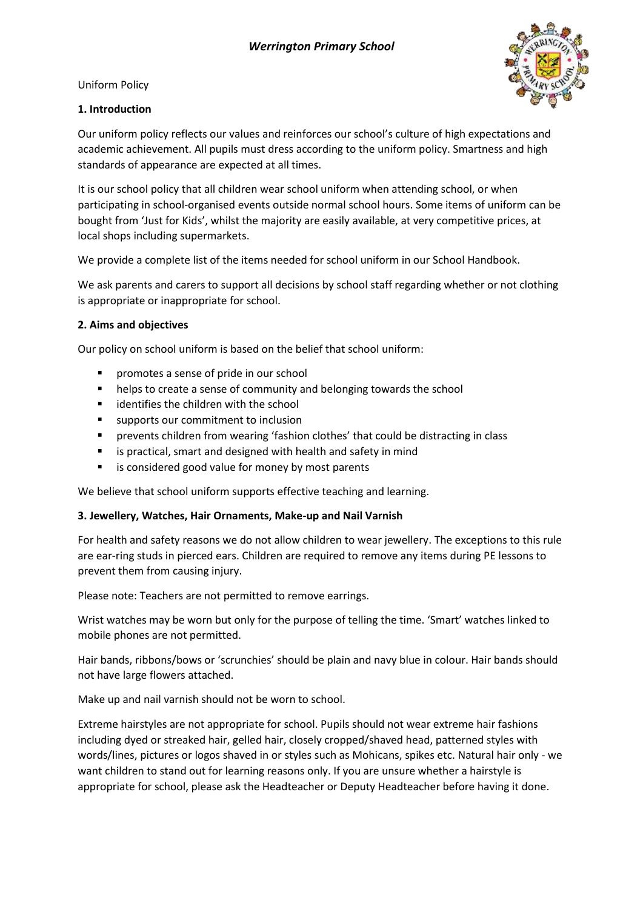Uniform Policy



## **1. Introduction**

Our uniform policy reflects our values and reinforces our school's culture of high expectations and academic achievement. All pupils must dress according to the uniform policy. Smartness and high standards of appearance are expected at all times.

It is our school policy that all children wear school uniform when attending school, or when participating in school-organised events outside normal school hours. Some items of uniform can be bought from 'Just for Kids', whilst the majority are easily available, at very competitive prices, at local shops including supermarkets.

We provide a complete list of the items needed for school uniform in our School Handbook.

We ask parents and carers to support all decisions by school staff regarding whether or not clothing is appropriate or inappropriate for school.

## **2. Aims and objectives**

Our policy on school uniform is based on the belief that school uniform:

- **P** promotes a sense of pride in our school
- **helps to create a sense of community and belonging towards the school**
- **EXEC** identifies the children with the school
- supports our commitment to inclusion
- prevents children from wearing 'fashion clothes' that could be distracting in class
- is practical, smart and designed with health and safety in mind
- **EXTE:** is considered good value for money by most parents

We believe that school uniform supports effective teaching and learning.

### **3. Jewellery, Watches, Hair Ornaments, Make-up and Nail Varnish**

For health and safety reasons we do not allow children to wear jewellery. The exceptions to this rule are ear-ring studs in pierced ears. Children are required to remove any items during PE lessons to prevent them from causing injury.

Please note: Teachers are not permitted to remove earrings.

Wrist watches may be worn but only for the purpose of telling the time. 'Smart' watches linked to mobile phones are not permitted.

Hair bands, ribbons/bows or 'scrunchies' should be plain and navy blue in colour. Hair bands should not have large flowers attached.

Make up and nail varnish should not be worn to school.

Extreme hairstyles are not appropriate for school. Pupils should not wear extreme hair fashions including dyed or streaked hair, gelled hair, closely cropped/shaved head, patterned styles with words/lines, pictures or logos shaved in or styles such as Mohicans, spikes etc. Natural hair only - we want children to stand out for learning reasons only. If you are unsure whether a hairstyle is appropriate for school, please ask the Headteacher or Deputy Headteacher before having it done.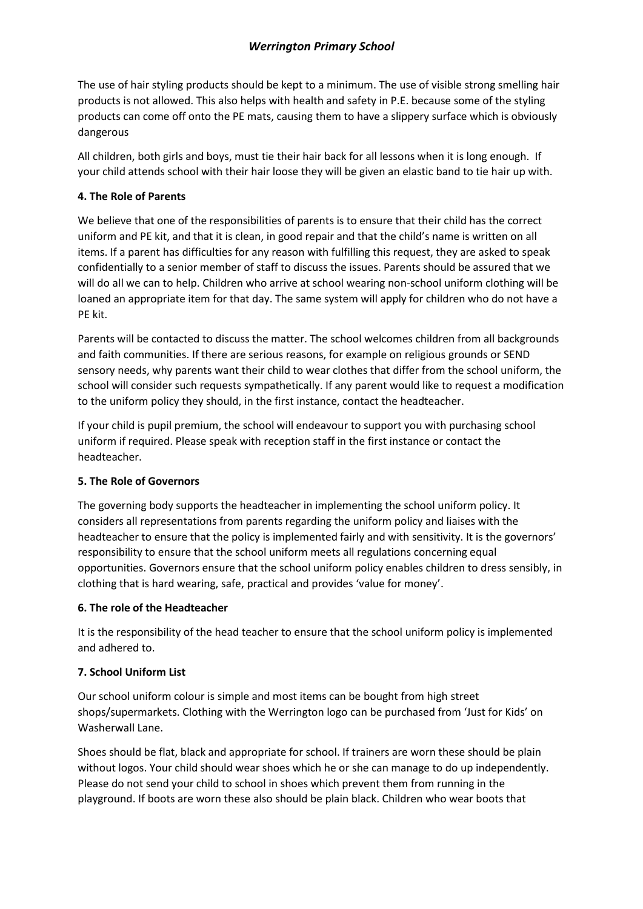The use of hair styling products should be kept to a minimum. The use of visible strong smelling hair products is not allowed. This also helps with health and safety in P.E. because some of the styling products can come off onto the PE mats, causing them to have a slippery surface which is obviously dangerous

All children, both girls and boys, must tie their hair back for all lessons when it is long enough. If your child attends school with their hair loose they will be given an elastic band to tie hair up with.

### **4. The Role of Parents**

We believe that one of the responsibilities of parents is to ensure that their child has the correct uniform and PE kit, and that it is clean, in good repair and that the child's name is written on all items. If a parent has difficulties for any reason with fulfilling this request, they are asked to speak confidentially to a senior member of staff to discuss the issues. Parents should be assured that we will do all we can to help. Children who arrive at school wearing non-school uniform clothing will be loaned an appropriate item for that day. The same system will apply for children who do not have a PE kit.

Parents will be contacted to discuss the matter. The school welcomes children from all backgrounds and faith communities. If there are serious reasons, for example on religious grounds or SEND sensory needs, why parents want their child to wear clothes that differ from the school uniform, the school will consider such requests sympathetically. If any parent would like to request a modification to the uniform policy they should, in the first instance, contact the headteacher.

If your child is pupil premium, the school will endeavour to support you with purchasing school uniform if required. Please speak with reception staff in the first instance or contact the headteacher.

# **5. The Role of Governors**

The governing body supports the headteacher in implementing the school uniform policy. It considers all representations from parents regarding the uniform policy and liaises with the headteacher to ensure that the policy is implemented fairly and with sensitivity. It is the governors' responsibility to ensure that the school uniform meets all regulations concerning equal opportunities. Governors ensure that the school uniform policy enables children to dress sensibly, in clothing that is hard wearing, safe, practical and provides 'value for money'.

### **6. The role of the Headteacher**

It is the responsibility of the head teacher to ensure that the school uniform policy is implemented and adhered to.

# **7. School Uniform List**

Our school uniform colour is simple and most items can be bought from high street shops/supermarkets. Clothing with the Werrington logo can be purchased from 'Just for Kids' on Washerwall Lane.

Shoes should be flat, black and appropriate for school. If trainers are worn these should be plain without logos. Your child should wear shoes which he or she can manage to do up independently. Please do not send your child to school in shoes which prevent them from running in the playground. If boots are worn these also should be plain black. Children who wear boots that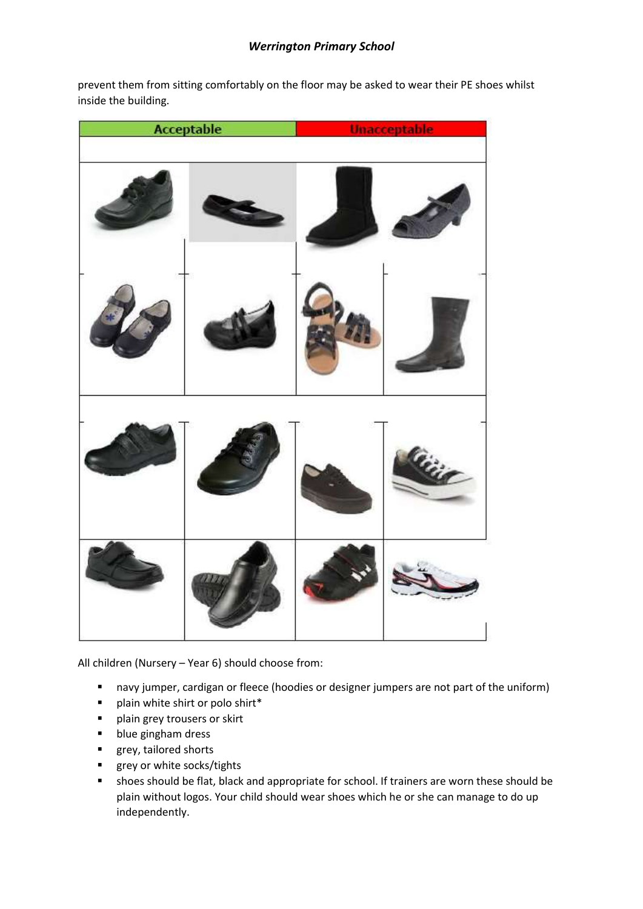prevent them from sitting comfortably on the floor may be asked to wear their PE shoes whilst inside the building.



All children (Nursery – Year 6) should choose from:

- navy jumper, cardigan or fleece (hoodies or designer jumpers are not part of the uniform)
- $\blacksquare$  plain white shirt or polo shirt\*
- **P** plain grey trousers or skirt
- **blue gingham dress**
- **grey, tailored shorts**
- **grey or white socks/tights**
- shoes should be flat, black and appropriate for school. If trainers are worn these should be plain without logos. Your child should wear shoes which he or she can manage to do up independently.